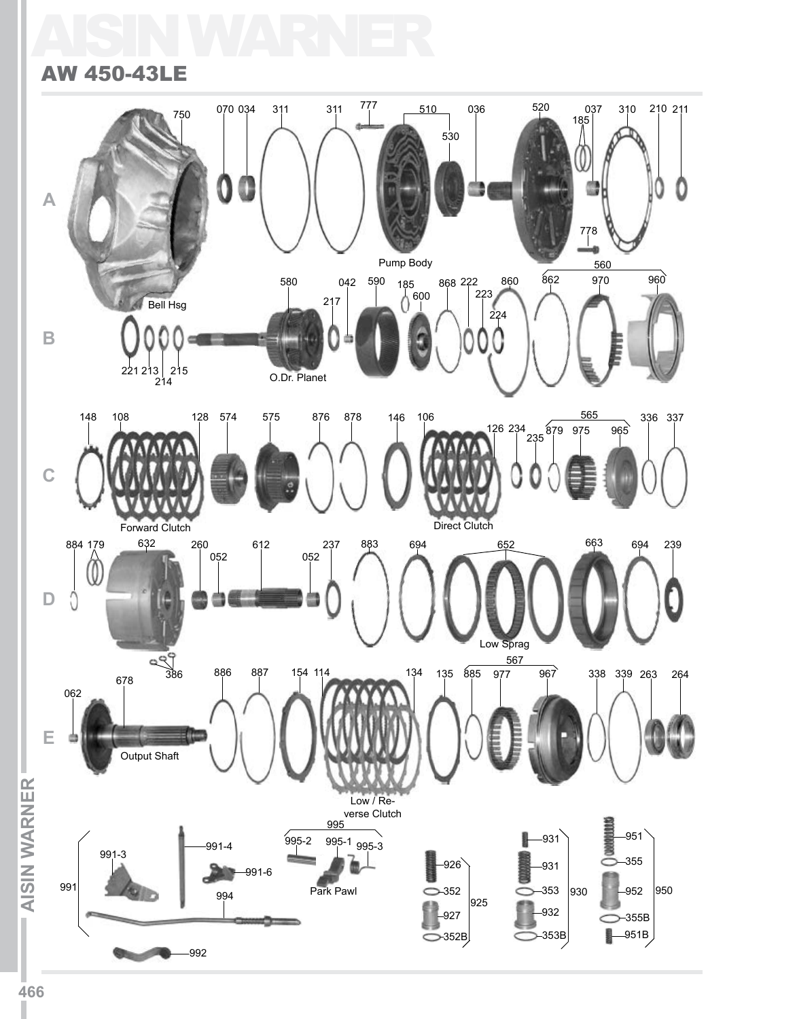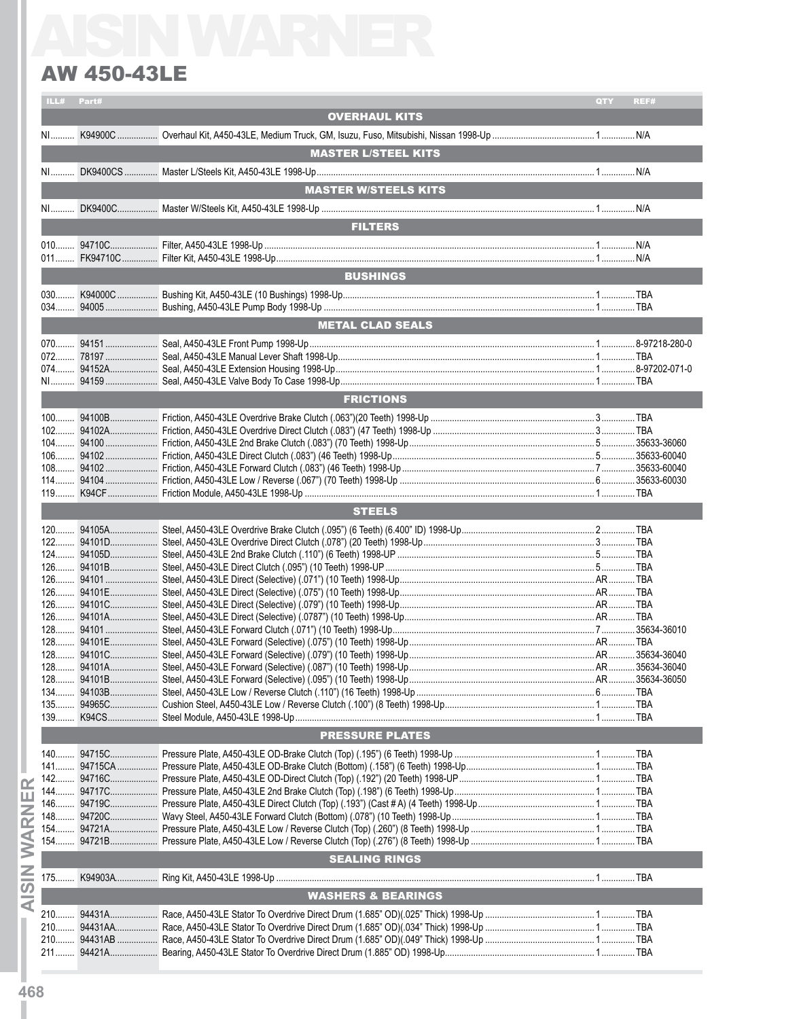### AW 450-43LE

| ILL# Part#<br>QTY<br>REF#<br><b>OVERHAUL KITS</b><br><b>MASTER L/STEEL KITS</b><br><b>MASTER W/STEELS KITS</b><br><b>FILTERS</b><br><b>BUSHINGS</b><br><b>METAL CLAD SEALS</b><br><b>FRICTIONS</b><br><b>STEELS</b><br><b>PRESSURE PLATES</b><br><b>SEALING RINGS</b><br><b>WASHERS &amp; BEARINGS</b><br>$210$ |  | <b>AW 450-43LE</b> |  |
|-----------------------------------------------------------------------------------------------------------------------------------------------------------------------------------------------------------------------------------------------------------------------------------------------------------------|--|--------------------|--|
|                                                                                                                                                                                                                                                                                                                 |  |                    |  |
|                                                                                                                                                                                                                                                                                                                 |  |                    |  |
|                                                                                                                                                                                                                                                                                                                 |  |                    |  |
|                                                                                                                                                                                                                                                                                                                 |  |                    |  |
|                                                                                                                                                                                                                                                                                                                 |  |                    |  |
|                                                                                                                                                                                                                                                                                                                 |  |                    |  |
|                                                                                                                                                                                                                                                                                                                 |  |                    |  |
|                                                                                                                                                                                                                                                                                                                 |  |                    |  |
|                                                                                                                                                                                                                                                                                                                 |  |                    |  |
|                                                                                                                                                                                                                                                                                                                 |  |                    |  |
|                                                                                                                                                                                                                                                                                                                 |  |                    |  |
|                                                                                                                                                                                                                                                                                                                 |  |                    |  |
|                                                                                                                                                                                                                                                                                                                 |  |                    |  |
|                                                                                                                                                                                                                                                                                                                 |  |                    |  |
|                                                                                                                                                                                                                                                                                                                 |  |                    |  |
|                                                                                                                                                                                                                                                                                                                 |  |                    |  |
|                                                                                                                                                                                                                                                                                                                 |  |                    |  |
|                                                                                                                                                                                                                                                                                                                 |  |                    |  |
|                                                                                                                                                                                                                                                                                                                 |  |                    |  |
|                                                                                                                                                                                                                                                                                                                 |  |                    |  |
|                                                                                                                                                                                                                                                                                                                 |  |                    |  |
|                                                                                                                                                                                                                                                                                                                 |  |                    |  |
|                                                                                                                                                                                                                                                                                                                 |  |                    |  |
|                                                                                                                                                                                                                                                                                                                 |  |                    |  |
|                                                                                                                                                                                                                                                                                                                 |  |                    |  |
|                                                                                                                                                                                                                                                                                                                 |  |                    |  |
|                                                                                                                                                                                                                                                                                                                 |  |                    |  |
|                                                                                                                                                                                                                                                                                                                 |  |                    |  |
|                                                                                                                                                                                                                                                                                                                 |  |                    |  |
|                                                                                                                                                                                                                                                                                                                 |  |                    |  |
|                                                                                                                                                                                                                                                                                                                 |  |                    |  |
|                                                                                                                                                                                                                                                                                                                 |  |                    |  |
|                                                                                                                                                                                                                                                                                                                 |  |                    |  |
|                                                                                                                                                                                                                                                                                                                 |  |                    |  |
|                                                                                                                                                                                                                                                                                                                 |  |                    |  |
|                                                                                                                                                                                                                                                                                                                 |  |                    |  |
|                                                                                                                                                                                                                                                                                                                 |  |                    |  |
|                                                                                                                                                                                                                                                                                                                 |  |                    |  |
|                                                                                                                                                                                                                                                                                                                 |  |                    |  |
|                                                                                                                                                                                                                                                                                                                 |  |                    |  |
|                                                                                                                                                                                                                                                                                                                 |  |                    |  |
|                                                                                                                                                                                                                                                                                                                 |  |                    |  |
|                                                                                                                                                                                                                                                                                                                 |  |                    |  |
|                                                                                                                                                                                                                                                                                                                 |  |                    |  |
|                                                                                                                                                                                                                                                                                                                 |  |                    |  |
|                                                                                                                                                                                                                                                                                                                 |  |                    |  |
|                                                                                                                                                                                                                                                                                                                 |  |                    |  |
|                                                                                                                                                                                                                                                                                                                 |  |                    |  |
|                                                                                                                                                                                                                                                                                                                 |  |                    |  |
|                                                                                                                                                                                                                                                                                                                 |  |                    |  |
|                                                                                                                                                                                                                                                                                                                 |  |                    |  |
|                                                                                                                                                                                                                                                                                                                 |  |                    |  |
|                                                                                                                                                                                                                                                                                                                 |  |                    |  |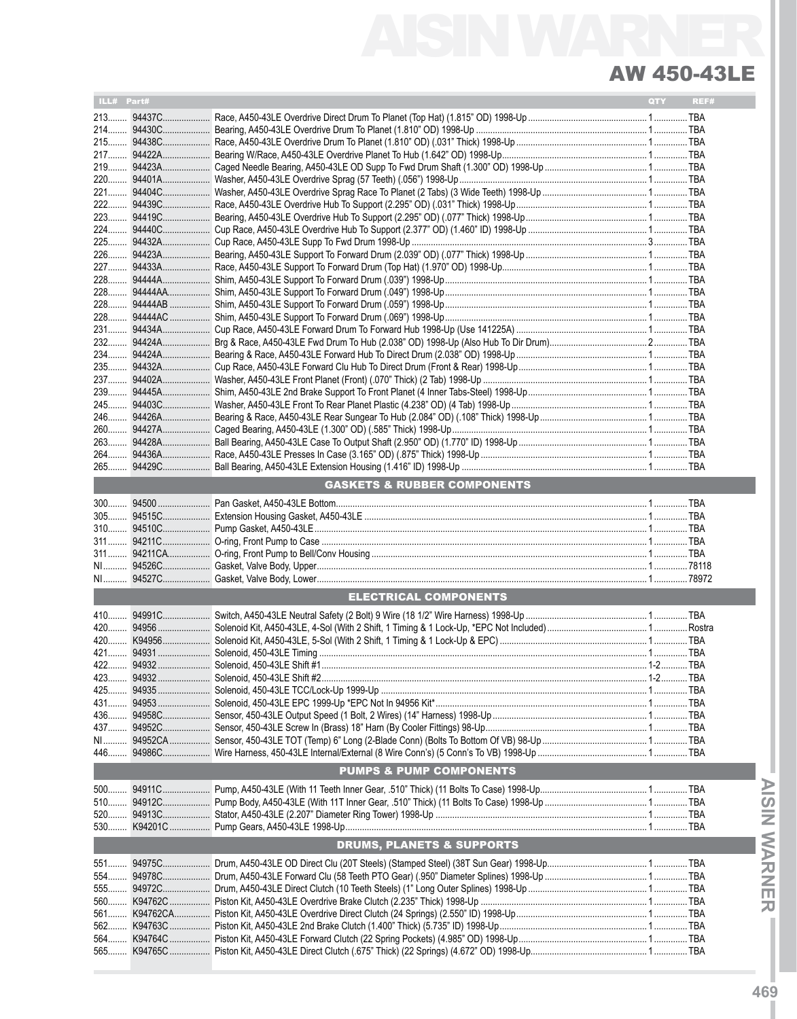## AISIN WARNER AW 450-43LE

| ILL# Part#   |             |                                        | QTY | REF# |
|--------------|-------------|----------------------------------------|-----|------|
|              | 21394437C   |                                        |     |      |
|              |             |                                        |     |      |
|              | 215 94438C  |                                        |     |      |
|              | 21794422A   |                                        |     |      |
|              |             |                                        |     |      |
|              |             |                                        |     |      |
|              | 221 94404C  |                                        |     |      |
|              | 222 94439C  |                                        |     |      |
|              | 223 94419C  |                                        |     |      |
|              |             |                                        |     |      |
|              | 225 94432A  |                                        |     |      |
| 226          | 94423A      |                                        |     |      |
| 228          | 94444A      |                                        |     |      |
|              |             |                                        |     |      |
|              |             |                                        |     |      |
| 228          | 94444AC     |                                        |     |      |
|              | 231 94434A  |                                        |     |      |
| $232$        | 94424A      |                                        |     |      |
|              |             |                                        |     |      |
|              |             |                                        |     |      |
| 237          |             |                                        |     |      |
| 239          | 94445A      |                                        |     |      |
| 245          | 94403C      |                                        |     |      |
|              |             |                                        |     |      |
| $260$<br>263 |             |                                        |     |      |
|              |             |                                        |     |      |
| $265$        |             |                                        |     |      |
|              |             |                                        |     |      |
|              |             | <b>GASKETS &amp; RUBBER COMPONENTS</b> |     |      |
|              |             |                                        |     |      |
|              |             |                                        |     |      |
|              |             |                                        |     |      |
|              |             |                                        |     |      |
|              |             |                                        |     |      |
|              |             |                                        |     |      |
|              |             |                                        |     |      |
|              |             | <b>ELECTRICAL COMPONENTS</b>           |     |      |
|              |             |                                        |     |      |
|              |             |                                        |     |      |
|              |             |                                        |     |      |
|              |             |                                        |     |      |
|              |             |                                        |     |      |
|              |             |                                        |     |      |
|              |             |                                        |     |      |
|              |             |                                        |     |      |
|              |             |                                        |     |      |
|              |             |                                        |     |      |
|              |             |                                        |     |      |
|              |             | <b>PUMPS &amp; PUMP COMPONENTS</b>     |     |      |
|              | 50094911C   |                                        |     |      |
|              |             |                                        |     |      |
|              |             |                                        |     |      |
|              |             |                                        |     |      |
|              |             | <b>DRUMS, PLANETS &amp; SUPPORTS</b>   |     |      |
|              |             |                                        |     |      |
|              | 554 94978C  |                                        |     |      |
|              | 555 94972C  |                                        |     |      |
|              | 560 K94762C |                                        |     |      |
|              |             |                                        |     |      |
|              | 562 K94763C |                                        |     |      |
|              |             |                                        |     |      |
|              |             |                                        |     |      |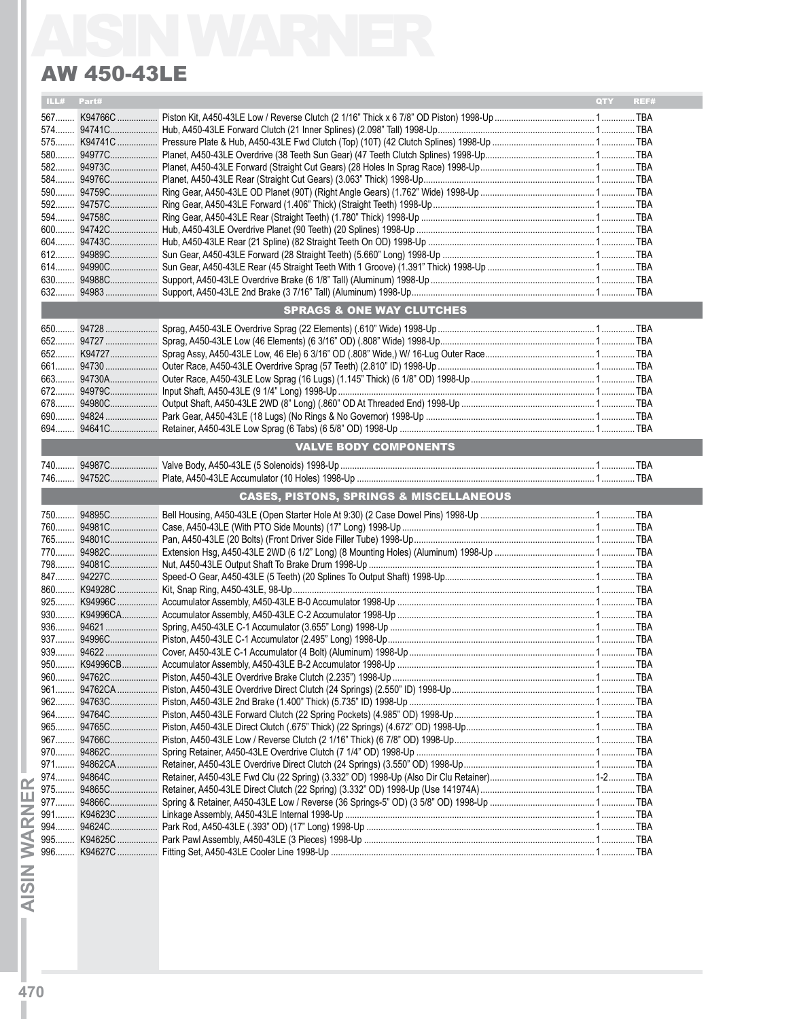## AW 450-43LE

|               | <b>AW 450-43LE</b>                                 |             |
|---------------|----------------------------------------------------|-------------|
| ILL#<br>Part# |                                                    | QTY<br>REF# |
|               |                                                    |             |
|               |                                                    |             |
|               |                                                    |             |
|               |                                                    |             |
|               |                                                    |             |
|               |                                                    |             |
|               |                                                    |             |
|               |                                                    |             |
|               |                                                    |             |
|               |                                                    |             |
|               |                                                    |             |
|               |                                                    |             |
|               |                                                    |             |
|               |                                                    |             |
|               |                                                    |             |
|               | <b>SPRAGS &amp; ONE WAY CLUTCHES</b>               |             |
|               |                                                    |             |
|               |                                                    |             |
|               |                                                    |             |
|               |                                                    |             |
|               |                                                    |             |
|               |                                                    |             |
|               |                                                    |             |
|               |                                                    |             |
|               |                                                    |             |
|               | VALVE BODY COMPONENTS                              |             |
|               |                                                    |             |
|               |                                                    |             |
|               | <b>CASES, PISTONS, SPRINGS &amp; MISCELLANEOUS</b> |             |
|               |                                                    |             |
|               |                                                    |             |
|               |                                                    |             |
|               |                                                    |             |
|               |                                                    |             |
|               |                                                    |             |
|               |                                                    |             |
|               |                                                    |             |
|               |                                                    |             |
|               |                                                    |             |
|               |                                                    |             |
|               |                                                    |             |
|               |                                                    |             |
|               |                                                    |             |
|               |                                                    |             |
|               |                                                    |             |
|               |                                                    |             |
|               |                                                    |             |
|               |                                                    |             |
|               |                                                    |             |
|               |                                                    |             |
|               |                                                    |             |
|               |                                                    |             |
|               |                                                    |             |
|               |                                                    |             |
|               |                                                    |             |
|               |                                                    |             |
|               |                                                    |             |